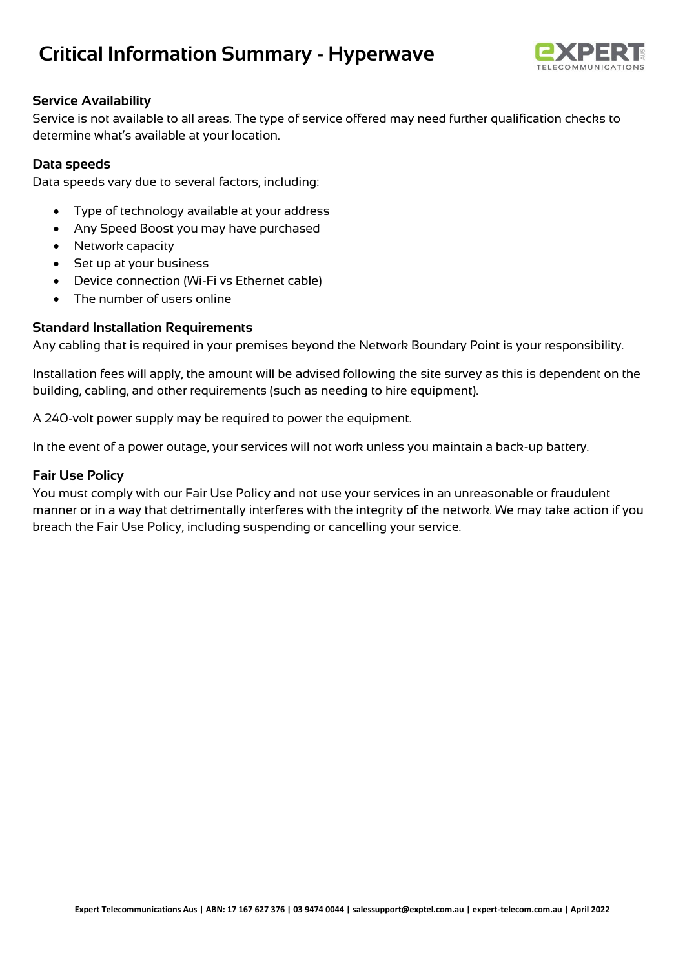# **Critical Information Summary - Hyperwave**



## **Service Availability**

Service is not available to all areas. The type of service offered may need further qualification checks to determine what's available at your location.

### **Data speeds**

Data speeds vary due to several factors, including:

- Type of technology available at your address
- Any Speed Boost you may have purchased
- Network capacity
- Set up at your business
- Device connection (Wi-Fi vs Ethernet cable)
- The number of users online

## **Standard Installation Requirements**

Any cabling that is required in your premises beyond the Network Boundary Point is your responsibility.

Installation fees will apply, the amount will be advised following the site survey as this is dependent on the building, cabling, and other requirements (such as needing to hire equipment).

A 240-volt power supply may be required to power the equipment.

In the event of a power outage, your services will not work unless you maintain a back-up battery.

### **Fair Use Policy**

You must comply with our Fair Use Policy and not use your services in an unreasonable or fraudulent manner or in a way that detrimentally interferes with the integrity of the network. We may take action if you breach the Fair Use Policy, including suspending or cancelling your service.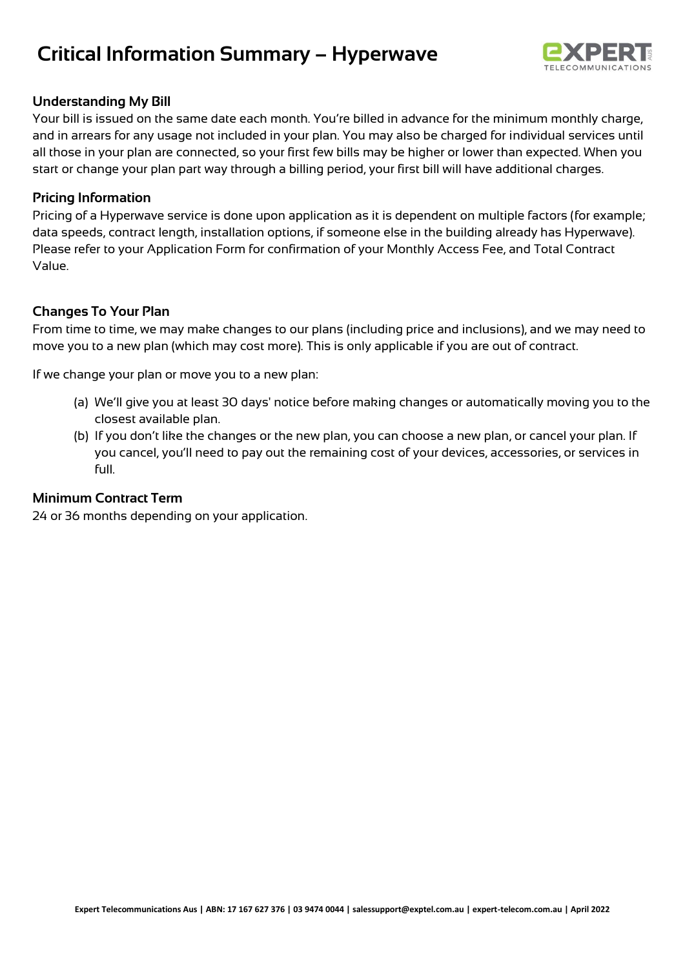## **Critical Information Summary – Hyperwave**



## **Understanding My Bill**

Your bill is issued on the same date each month. You're billed in advance for the minimum monthly charge, and in arrears for any usage not included in your plan. You may also be charged for individual services until all those in your plan are connected, so your first few bills may be higher or lower than expected. When you start or change your plan part way through a billing period, your first bill will have additional charges.

### **Pricing Information**

Pricing of a Hyperwave service is done upon application as it is dependent on multiple factors (for example; data speeds, contract length, installation options, if someone else in the building already has Hyperwave). Please refer to your Application Form for confirmation of your Monthly Access Fee, and Total Contract Value.

## **Changes To Your Plan**

From time to time, we may make changes to our plans (including price and inclusions), and we may need to move you to a new plan (which may cost more). This is only applicable if you are out of contract.

If we change your plan or move you to a new plan:

- (a) We'll give you at least 30 days' notice before making changes or automatically moving you to the closest available plan.
- (b) If you don't like the changes or the new plan, you can choose a new plan, or cancel your plan. If you cancel, you'll need to pay out the remaining cost of your devices, accessories, or services in full.

### **Minimum Contract Term**

24 or 36 months depending on your application.